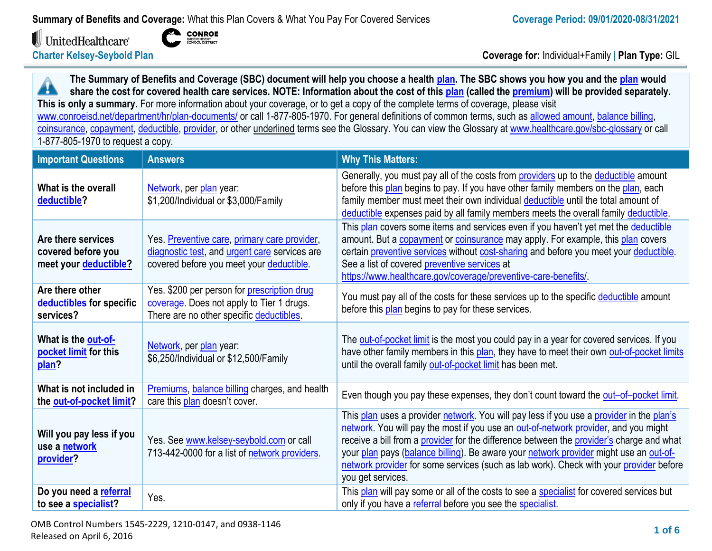**CONROE** 

INDEPENDENT<br>SCHOOL DISTRICT

UnitedHealthcare®

**Charter Kelsey-Seybold Plan Coverage for:** Individual+Family | **Plan Type: GIL** 

**The Summary of Benefits and Coverage (SBC) document will help you choose a health [plan.](https://www.healthcare.gov/sbc-glossary/#plan) The SBC shows you how you and the [plan](https://www.healthcare.gov/sbc-glossary/#plan) would** Æ **share the cost for covered health care services. NOTE: Information about the cost of thi[s plan](https://www.healthcare.gov/sbc-glossary/#plan) (called the [premium\)](https://www.healthcare.gov/sbc-glossary/#premium) will be provided separately. This is only a summary.** For more information about your coverage, or to get a copy of the complete terms of coverage, please visit [www.conroeisd.net/department/hr/plan-documents/](http://www.conroeisd.net/department/hr/plan-documents/) or call 1-877-805-1970. For general definitions of common terms, such as [allowed amount,](https://www.healthcare.gov/sbc-glossary/#allowed-amount) [balance billing,](https://www.healthcare.gov/sbc-glossary/#balance-billing) [coinsurance,](https://www.healthcare.gov/sbc-glossary/#coinsurance) [copayment,](https://www.healthcare.gov/sbc-glossary/#copayment) [deductible,](https://www.healthcare.gov/sbc-glossary/#deductible) [provider,](https://www.healthcare.gov/sbc-glossary/#provider) or other underlined terms see the Glossary. You can view the Glossary at [www.healthcare.gov/sbc-glossary](http://www.healthcare.gov/sbc-glossary) or call 1-877-805-1970 to request a copy.

| <b>Important Questions</b>                                        | <b>Answers</b>                                                                                                                            | <b>Why This Matters:</b>                                                                                                                                                                                                                                                                                                                                                                                                                                                            |
|-------------------------------------------------------------------|-------------------------------------------------------------------------------------------------------------------------------------------|-------------------------------------------------------------------------------------------------------------------------------------------------------------------------------------------------------------------------------------------------------------------------------------------------------------------------------------------------------------------------------------------------------------------------------------------------------------------------------------|
| What is the overall<br>deductible?                                | Network, per plan year:<br>\$1,200/Individual or \$3,000/Family                                                                           | Generally, you must pay all of the costs from providers up to the deductible amount<br>before this plan begins to pay. If you have other family members on the plan, each<br>family member must meet their own individual deductible until the total amount of<br>deductible expenses paid by all family members meets the overall family deductible.                                                                                                                               |
| Are there services<br>covered before you<br>meet your deductible? | Yes. Preventive care, primary care provider,<br>diagnostic test, and urgent care services are<br>covered before you meet your deductible. | This plan covers some items and services even if you haven't yet met the deductible<br>amount. But a copayment or coinsurance may apply. For example, this plan covers<br>certain preventive services without cost-sharing and before you meet your deductible.<br>See a list of covered preventive services at<br>https://www.healthcare.gov/coverage/preventive-care-benefits/                                                                                                    |
| Are there other<br>deductibles for specific<br>services?          | Yes. \$200 per person for prescription drug<br>coverage. Does not apply to Tier 1 drugs.<br>There are no other specific deductibles.      | You must pay all of the costs for these services up to the specific deductible amount<br>before this plan begins to pay for these services.                                                                                                                                                                                                                                                                                                                                         |
| What is the out-of-<br>pocket limit for this<br>plan?             | Network, per plan year:<br>\$6,250/Individual or \$12,500/Family                                                                          | The out-of-pocket limit is the most you could pay in a year for covered services. If you<br>have other family members in this plan, they have to meet their own out-of-pocket limits<br>until the overall family out-of-pocket limit has been met.                                                                                                                                                                                                                                  |
| What is not included in<br>the out-of-pocket limit?               | Premiums, balance billing charges, and health<br>care this plan doesn't cover.                                                            | Even though you pay these expenses, they don't count toward the out-of-pocket limit.                                                                                                                                                                                                                                                                                                                                                                                                |
| Will you pay less if you<br>use a <b>network</b><br>provider?     | Yes. See www.kelsey-seybold.com or call<br>713-442-0000 for a list of network providers.                                                  | This plan uses a provider network. You will pay less if you use a provider in the plan's<br>network. You will pay the most if you use an out-of-network provider, and you might<br>receive a bill from a provider for the difference between the provider's charge and what<br>your plan pays (balance billing). Be aware your network provider might use an out-of-<br>network provider for some services (such as lab work). Check with your provider before<br>you get services. |
| Do you need a referral<br>to see a specialist?                    | Yes.                                                                                                                                      | This plan will pay some or all of the costs to see a specialist for covered services but<br>only if you have a referral before you see the specialist.                                                                                                                                                                                                                                                                                                                              |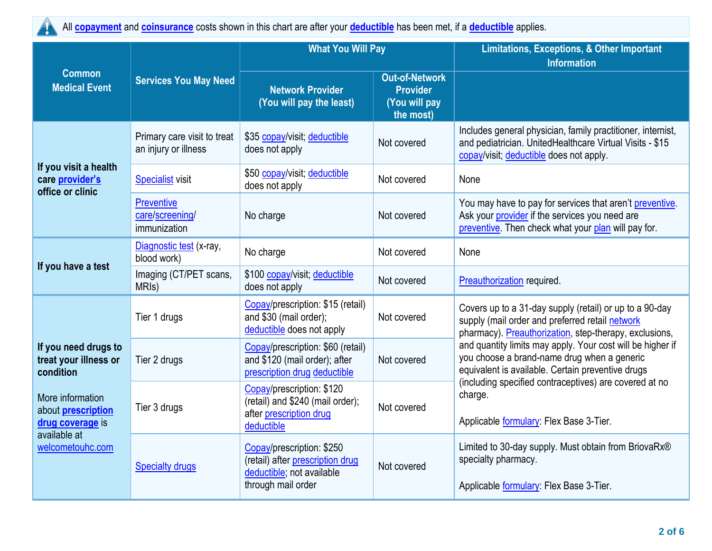

All **[copayment](https://www.healthcare.gov/sbc-glossary/#copayment)** and **[coinsurance](https://www.healthcare.gov/sbc-glossary/#coinsurance)** costs shown in this chart are after your **[deductible](https://www.healthcare.gov/sbc-glossary/#deductible)** has been met, if a **[deductible](https://www.healthcare.gov/sbc-glossary/#deductible)** applies.

|                                                                                                       | <b>Services You May Need</b>                                                                                                      | <b>What You Will Pay</b>                                                                                                                                                                                                 |                                                                        | <b>Limitations, Exceptions, &amp; Other Important</b><br><b>Information</b>                                                                                          |  |
|-------------------------------------------------------------------------------------------------------|-----------------------------------------------------------------------------------------------------------------------------------|--------------------------------------------------------------------------------------------------------------------------------------------------------------------------------------------------------------------------|------------------------------------------------------------------------|----------------------------------------------------------------------------------------------------------------------------------------------------------------------|--|
| <b>Common</b><br><b>Medical Event</b>                                                                 |                                                                                                                                   | <b>Network Provider</b><br>(You will pay the least)                                                                                                                                                                      | <b>Out-of-Network</b><br><b>Provider</b><br>(You will pay<br>the most) |                                                                                                                                                                      |  |
|                                                                                                       | Primary care visit to treat<br>an injury or illness                                                                               | \$35 copay/visit; deductible<br>does not apply                                                                                                                                                                           | Not covered                                                            | Includes general physician, family practitioner, internist,<br>and pediatrician. UnitedHealthcare Virtual Visits - \$15<br>copay/visit; deductible does not apply.   |  |
| If you visit a health<br>care provider's<br>office or clinic                                          | <b>Specialist</b> visit                                                                                                           | \$50 copay/visit; deductible<br>does not apply                                                                                                                                                                           | Not covered                                                            | None                                                                                                                                                                 |  |
|                                                                                                       | <b>Preventive</b><br>care/screening/<br>immunization                                                                              | No charge                                                                                                                                                                                                                | Not covered                                                            | You may have to pay for services that aren't preventive.<br>Ask your provider if the services you need are<br>preventive. Then check what your plan will pay for.    |  |
| If you have a test                                                                                    | Diagnostic test (x-ray,<br>blood work)                                                                                            | No charge                                                                                                                                                                                                                | Not covered                                                            | None                                                                                                                                                                 |  |
|                                                                                                       | Imaging (CT/PET scans,<br>MRIs)                                                                                                   | \$100 copay/visit; deductible<br>does not apply                                                                                                                                                                          | Not covered                                                            | Preauthorization required.                                                                                                                                           |  |
|                                                                                                       | Tier 1 drugs                                                                                                                      | Copay/prescription: \$15 (retail)<br>and \$30 (mail order);<br>deductible does not apply                                                                                                                                 | Not covered                                                            | Covers up to a 31-day supply (retail) or up to a 90-day<br>supply (mail order and preferred retail network<br>pharmacy). Preauthorization, step-therapy, exclusions, |  |
| If you need drugs to<br>treat your illness or<br>condition                                            | Copay/prescription: \$60 (retail)<br>Tier 2 drugs<br>and \$120 (mail order); after<br>Not covered<br>prescription drug deductible | and quantity limits may apply. Your cost will be higher if<br>you choose a brand-name drug when a generic<br>equivalent is available. Certain preventive drugs<br>(including specified contraceptives) are covered at no |                                                                        |                                                                                                                                                                      |  |
| More information<br>about <b>prescription</b><br>drug coverage is<br>available at<br>welcometouhc.com | Tier 3 drugs                                                                                                                      | Copay/prescription: \$120<br>(retail) and \$240 (mail order);<br>after prescription drug<br>deductible                                                                                                                   | Not covered                                                            | charge.<br>Applicable formulary: Flex Base 3-Tier.                                                                                                                   |  |
|                                                                                                       | <b>Specialty drugs</b>                                                                                                            | Copay/prescription: \$250<br>(retail) after prescription drug<br>deductible; not available<br>through mail order                                                                                                         | Not covered                                                            | Limited to 30-day supply. Must obtain from BriovaRx®<br>specialty pharmacy.<br>Applicable formulary: Flex Base 3-Tier.                                               |  |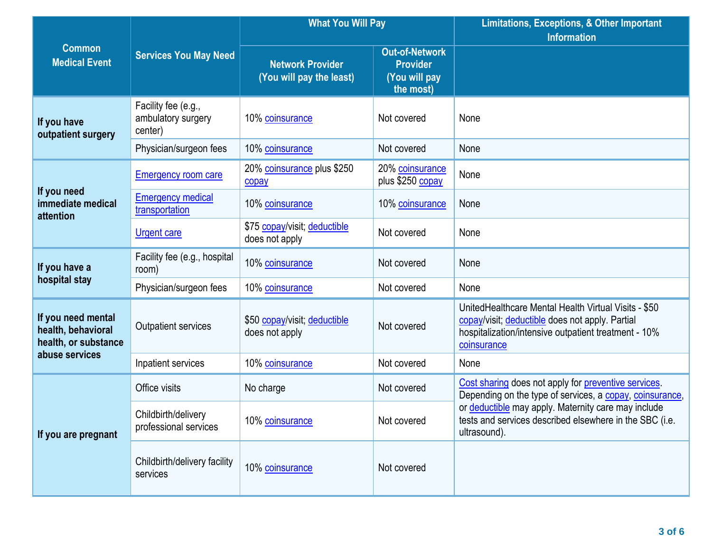|                                                                  | <b>Services You May Need</b>                         | <b>What You Will Pay</b>                            |                                                                        | <b>Limitations, Exceptions, &amp; Other Important</b><br><b>Information</b>                                                                                                                                                                        |  |
|------------------------------------------------------------------|------------------------------------------------------|-----------------------------------------------------|------------------------------------------------------------------------|----------------------------------------------------------------------------------------------------------------------------------------------------------------------------------------------------------------------------------------------------|--|
| <b>Common</b><br><b>Medical Event</b>                            |                                                      | <b>Network Provider</b><br>(You will pay the least) | <b>Out-of-Network</b><br><b>Provider</b><br>(You will pay<br>the most) |                                                                                                                                                                                                                                                    |  |
| If you have<br>outpatient surgery                                | Facility fee (e.g.,<br>ambulatory surgery<br>center) | 10% coinsurance                                     | Not covered                                                            | None                                                                                                                                                                                                                                               |  |
|                                                                  | Physician/surgeon fees                               | 10% coinsurance                                     | Not covered                                                            | None                                                                                                                                                                                                                                               |  |
| If you need<br>immediate medical<br>attention                    | <b>Emergency room care</b>                           | 20% coinsurance plus \$250<br>copay                 | 20% coinsurance<br>plus \$250 copay                                    | None                                                                                                                                                                                                                                               |  |
|                                                                  | <b>Emergency medical</b><br>transportation           | 10% coinsurance                                     | 10% coinsurance                                                        | None                                                                                                                                                                                                                                               |  |
|                                                                  | <b>Urgent care</b>                                   | \$75 copay/visit; deductible<br>does not apply      | Not covered                                                            | None                                                                                                                                                                                                                                               |  |
| If you have a                                                    | Facility fee (e.g., hospital<br>room)                | 10% coinsurance                                     | Not covered                                                            | None                                                                                                                                                                                                                                               |  |
| hospital stay                                                    | Physician/surgeon fees                               | 10% coinsurance                                     | Not covered                                                            | None                                                                                                                                                                                                                                               |  |
| If you need mental<br>health, behavioral<br>health, or substance | <b>Outpatient services</b>                           | \$50 copay/visit; deductible<br>does not apply      | Not covered                                                            | UnitedHealthcare Mental Health Virtual Visits - \$50<br>copay/visit; deductible does not apply. Partial<br>hospitalization/intensive outpatient treatment - 10%<br>coinsurance                                                                     |  |
| abuse services                                                   | Inpatient services                                   | 10% coinsurance                                     | Not covered                                                            | None                                                                                                                                                                                                                                               |  |
| If you are pregnant                                              | Office visits                                        | No charge                                           | Not covered                                                            | Cost sharing does not apply for preventive services.<br>Depending on the type of services, a copay, coinsurance,<br>or deductible may apply. Maternity care may include<br>tests and services described elsewhere in the SBC (i.e.<br>ultrasound). |  |
|                                                                  | Childbirth/delivery<br>professional services         | 10% coinsurance                                     | Not covered                                                            |                                                                                                                                                                                                                                                    |  |
|                                                                  | Childbirth/delivery facility<br>services             | 10% coinsurance                                     | Not covered                                                            |                                                                                                                                                                                                                                                    |  |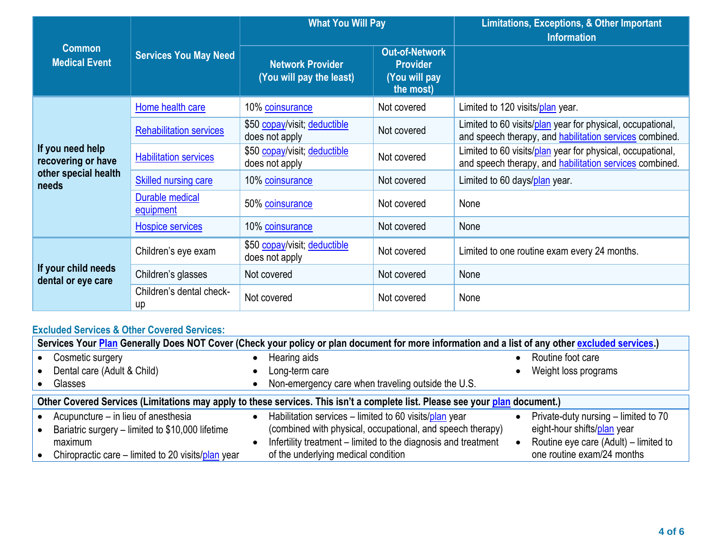|                                                                         | <b>Services You May Need</b>   | <b>What You Will Pay</b>                            |                                                                 | <b>Limitations, Exceptions, &amp; Other Important</b><br><b>Information</b>                                           |  |
|-------------------------------------------------------------------------|--------------------------------|-----------------------------------------------------|-----------------------------------------------------------------|-----------------------------------------------------------------------------------------------------------------------|--|
| <b>Common</b><br><b>Medical Event</b>                                   |                                | <b>Network Provider</b><br>(You will pay the least) | Out-of-Network<br><b>Provider</b><br>(You will pay<br>the most) |                                                                                                                       |  |
| If you need help<br>recovering or have<br>other special health<br>needs | Home health care               | 10% coinsurance                                     | Not covered                                                     | Limited to 120 visits/plan year.                                                                                      |  |
|                                                                         | <b>Rehabilitation services</b> | \$50 copay/visit; deductible<br>does not apply      | Not covered                                                     | Limited to 60 visits/plan year for physical, occupational,<br>and speech therapy, and habilitation services combined. |  |
|                                                                         | <b>Habilitation services</b>   | \$50 copay/visit; deductible<br>does not apply      | Not covered                                                     | Limited to 60 visits/plan year for physical, occupational,<br>and speech therapy, and habilitation services combined. |  |
|                                                                         | <b>Skilled nursing care</b>    | 10% coinsurance                                     | Not covered                                                     | Limited to 60 days/plan year.                                                                                         |  |
|                                                                         | Durable medical<br>equipment   | 50% coinsurance                                     | Not covered                                                     | None                                                                                                                  |  |
|                                                                         | <b>Hospice services</b>        | 10% coinsurance                                     | Not covered                                                     | None                                                                                                                  |  |
| If your child needs<br>dental or eye care                               | Children's eye exam            | \$50 copay/visit; deductible<br>does not apply      | Not covered                                                     | Limited to one routine exam every 24 months.                                                                          |  |
|                                                                         | Children's glasses             | Not covered                                         | Not covered                                                     | None                                                                                                                  |  |
|                                                                         | Children's dental check-<br>up | Not covered                                         | Not covered                                                     | None                                                                                                                  |  |

## **Excluded Services & Other Covered Services:**

| Services Your Plan Generally Does NOT Cover (Check your policy or plan document for more information and a list of any other excluded services.) |                                                                                                                      |                                                                     |  |  |  |
|--------------------------------------------------------------------------------------------------------------------------------------------------|----------------------------------------------------------------------------------------------------------------------|---------------------------------------------------------------------|--|--|--|
| Cosmetic surgery                                                                                                                                 | Hearing aids                                                                                                         | Routine foot care                                                   |  |  |  |
| Dental care (Adult & Child)                                                                                                                      | Long-term care                                                                                                       | Weight loss programs                                                |  |  |  |
| Glasses                                                                                                                                          | Non-emergency care when traveling outside the U.S.                                                                   |                                                                     |  |  |  |
| Other Covered Services (Limitations may apply to these services. This isn't a complete list. Please see your plan document.)                     |                                                                                                                      |                                                                     |  |  |  |
| Acupuncture - in lieu of anesthesia<br>Bariatric surgery - limited to \$10,000 lifetime                                                          | Habilitation services - limited to 60 visits/plan year<br>(combined with physical, occupational, and speech therapy) | Private-duty nursing – limited to 70<br>eight-hour shifts/plan year |  |  |  |
| maximum<br>Chiropractic care – limited to 20 visits/plan year                                                                                    | Infertility treatment - limited to the diagnosis and treatment<br>of the underlying medical condition                | Routine eye care (Adult) – limited to<br>one routine exam/24 months |  |  |  |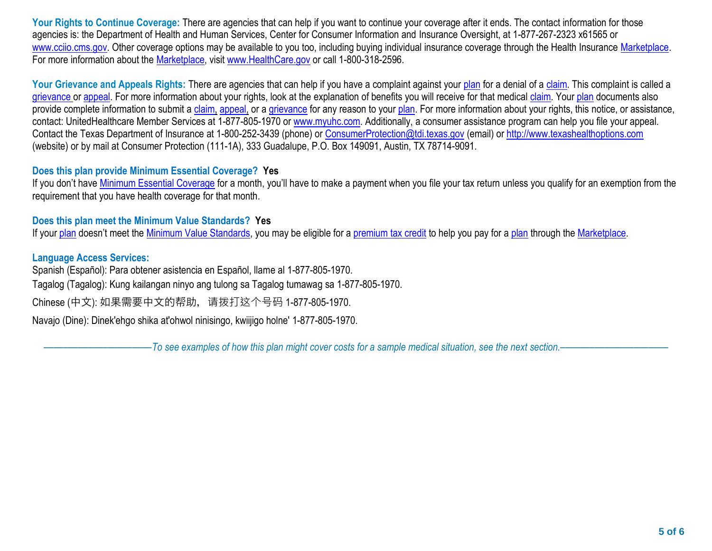Your Rights to Continue Coverage: There are agencies that can help if you want to continue your coverage after it ends. The contact information for those agencies is: the Department of Health and Human Services, Center for Consumer Information and Insurance Oversight, at 1-877-267-2323 x61565 or [www.cciio.cms.gov.](http://www.cciio.cms.gov/) Other coverage options may be available to you too, including buying individual insurance coverage through the Health Insurance [Marketplace.](https://www.healthcare.gov/sbc-glossary/#marketplace) For more information about the [Marketplace,](https://www.healthcare.gov/sbc-glossary/#marketplace) visit [www.HealthCare.gov](http://www.healthcare.gov/) or call 1-800-318-2596.

Your Grievance and Appeals Rights: There are agencies that can help if you have a complaint against your [plan](https://www.healthcare.gov/sbc-glossary/#plan) for a denial of a [claim.](https://www.healthcare.gov/sbc-glossary/#claim) This complaint is called a [grievance](https://www.healthcare.gov/sbc-glossary/#grievance) or [appeal.](https://www.healthcare.gov/sbc-glossary/#appeal) For more information about your rights, look at the explanation of benefits you will receive for that medical [claim.](https://www.healthcare.gov/sbc-glossary/#claim) Your [plan](https://www.healthcare.gov/sbc-glossary/#plan) documents also provide complete information to submit a [claim,](https://www.healthcare.gov/sbc-glossary/#claim) [appeal,](https://www.healthcare.gov/sbc-glossary/#appeal) or a [grievance](https://www.healthcare.gov/sbc-glossary/#grievance) for any reason to your [plan.](https://www.healthcare.gov/sbc-glossary/#plan) For more information about your rights, this notice, or assistance, contact: UnitedHealthcare Member Services at 1-877-805-1970 or [www.myuhc.com.](http://www.myuhc.com/) Additionally, a consumer assistance program can help you file your appeal. Contact the Texas Department of Insurance at 1-800-252-3439 (phone) or [ConsumerProtection@tdi.texas.gov](mailto:ConsumerProtection@tdi.texas.gov) (email) or [http://www.texashealthoptions.com](http://www.texashealthoptions.com/) (website) or by mail at Consumer Protection (111-1A), 333 Guadalupe, P.O. Box 149091, Austin, TX 78714-9091.

## **Does this plan provide Minimum Essential Coverage? Yes**

If you don't have [Minimum Essential Coverage](https://www.healthcare.gov/sbc-glossary/#minimum-essential-coverage) for a month, you'll have to make a payment when you file your tax return unless you qualify for an exemption from the requirement that you have health coverage for that month.

## **Does this plan meet the Minimum Value Standards? Yes**

If your [plan](https://www.healthcare.gov/sbc-glossary/#plan) doesn't meet the [Minimum Value Standards,](https://www.healthcare.gov/sbc-glossary/#minimum-value-standard) you may be eligible for a [premium tax credit](https://www.healthcare.gov/sbc-glossary/#premium-tax-credits) to help you pay for a plan through the [Marketplace.](https://www.healthcare.gov/sbc-glossary/#marketplace)

## **Language Access Services:**

Spanish (Español): Para obtener asistencia en Español, llame al 1-877-805-1970.

Tagalog (Tagalog): Kung kailangan ninyo ang tulong sa Tagalog tumawag sa 1-877-805-1970.

Chinese (中文): 如果需要中文的帮助,请拨打这个号码 1-877-805-1970.

Navajo (Dine): Dinek'ehgo shika at'ohwol ninisingo, kwiijigo holne' 1-877-805-1970.

––––––––––––––––––––––*To see examples of how this plan might cover costs for a sample medical situation, see the next section.–––––––––––*–––––––––––